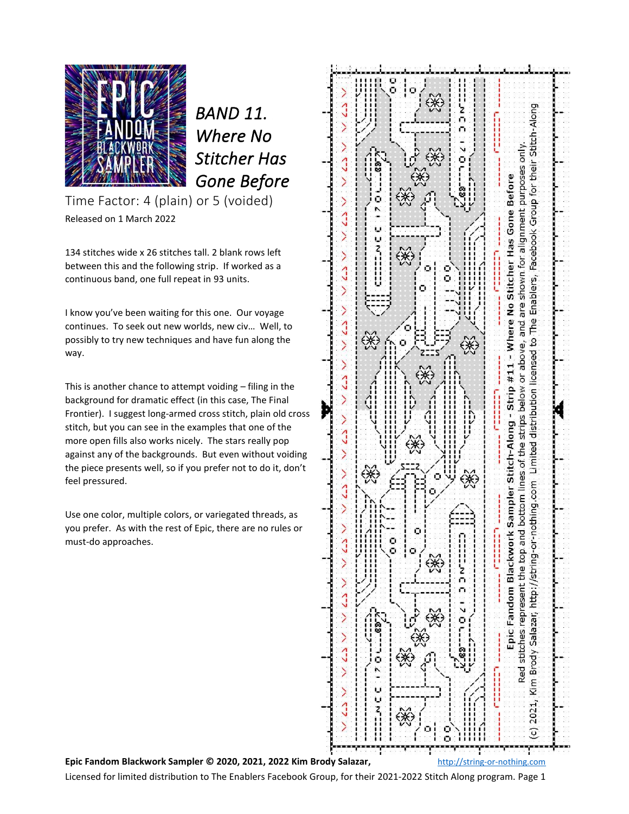

*BAND 11. Where No Stitcher Has Gone Before* 

Time Factor: 4 (plain) or 5 (voided) Released on 1 March 2022

134 stitches wide x 26 stitches tall. 2 blank rows left between this and the following strip. If worked as a continuous band, one full repeat in 93 units.

I know you've been waiting for this one. Our voyage continues. To seek out new worlds, new civ… Well, to possibly to try new techniques and have fun along the way.

This is another chance to attempt voiding – filing in the background for dramatic effect (in this case, The Final Frontier). I suggest long-armed cross stitch, plain old cross stitch, but you can see in the examples that one of the more open fills also works nicely. The stars really pop against any of the backgrounds. But even without voiding the piece presents well, so if you prefer not to do it, don't feel pressured.

Use one color, multiple colors, or variegated threads, as you prefer. As with the rest of Epic, there are no rules or must-do approaches.



Licensed for limited distribution to The Enablers Facebook Group, for their 2021-2022 Stitch Along program. Page 1